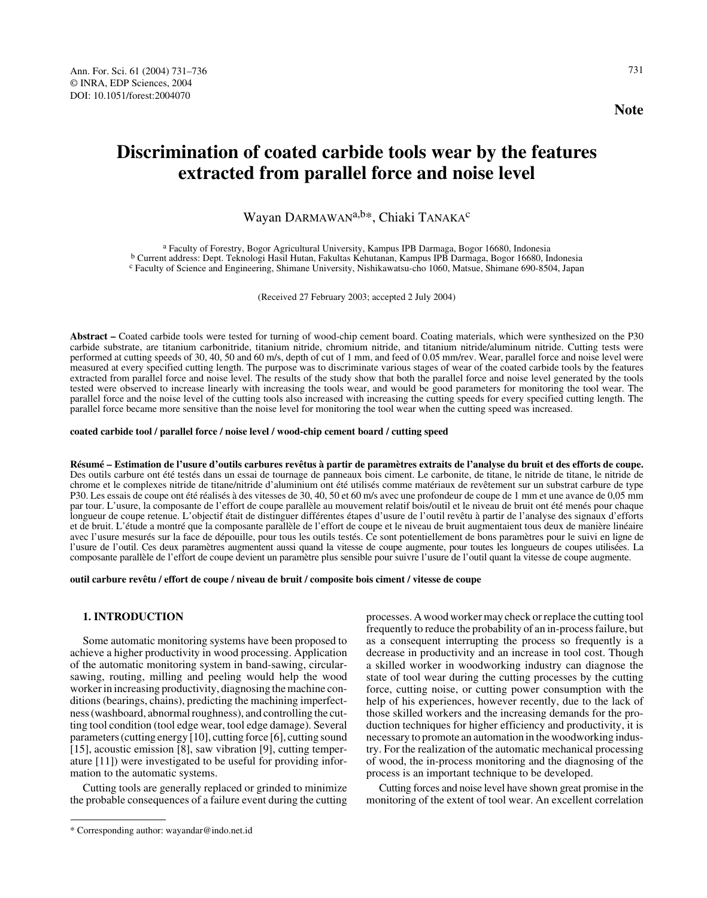# **Discrimination of coated carbide tools wear by the features extracted from parallel force and noise level**

## Wayan DARMAWAN<sup>a,b\*</sup>, Chiaki TANAKA<sup>c</sup>

<sup>a</sup> Faculty of Forestry, Bogor Agricultural University, Kampus IPB Darmaga, Bogor 16680, Indonesia<br><sup>b</sup> Current address: Dept. Teknologi Hasil Hutan, Fakultas Kehutanan, Kampus IPB Darmaga, Bogor 16680, Indonesia<br><sup>c</sup> Facult

(Received 27 February 2003; accepted 2 July 2004)

**Abstract –** Coated carbide tools were tested for turning of wood-chip cement board. Coating materials, which were synthesized on the P30 carbide substrate, are titanium carbonitride, titanium nitride, chromium nitride, and titanium nitride/aluminum nitride. Cutting tests were performed at cutting speeds of 30, 40, 50 and 60 m/s, depth of cut of 1 mm, and feed of 0.05 mm/rev. Wear, parallel force and noise level were measured at every specified cutting length. The purpose was to discriminate various stages of wear of the coated carbide tools by the features extracted from parallel force and noise level. The results of the study show that both the parallel force and noise level generated by the tools tested were observed to increase linearly with increasing the tools wear, and would be good parameters for monitoring the tool wear. The parallel force and the noise level of the cutting tools also increased with increasing the cutting speeds for every specified cutting length. The parallel force became more sensitive than the noise level for monitoring the tool wear when the cutting speed was increased.

#### **coated carbide tool / parallel force / noise level / wood-chip cement board / cutting speed**

**Résumé – Estimation de l'usure d'outils carbures revêtus à partir de paramètres extraits de l'analyse du bruit et des efforts de coupe.** Des outils carbure ont été testés dans un essai de tournage de panneaux bois ciment. Le carbonite, de titane, le nitride de titane, le nitride de chrome et le complexes nitride de titane/nitride d'aluminium ont été utilisés comme matériaux de revêtement sur un substrat carbure de type P30. Les essais de coupe ont été réalisés à des vitesses de 30, 40, 50 et 60 m/s avec une profondeur de coupe de 1 mm et une avance de 0,05 mm par tour. L'usure, la composante de l'effort de coupe parallèle au mouvement relatif bois/outil et le niveau de bruit ont été menés pour chaque longueur de coupe retenue. L'objectif était de distinguer différentes étapes d'usure de l'outil revêtu à partir de l'analyse des signaux d'efforts et de bruit. L'étude a montré que la composante parallèle de l'effort de coupe et le niveau de bruit augmentaient tous deux de manière linéaire avec l'usure mesurés sur la face de dépouille, pour tous les outils testés. Ce sont potentiellement de bons paramètres pour le suivi en ligne de l'usure de l'outil. Ces deux paramètres augmentent aussi quand la vitesse de coupe augmente, pour toutes les longueurs de coupes utilisées. La composante parallèle de l'effort de coupe devient un paramètre plus sensible pour suivre l'usure de l'outil quant la vitesse de coupe augmente.

#### **outil carbure revêtu / effort de coupe / niveau de bruit / composite bois ciment / vitesse de coupe**

## **1. INTRODUCTION**

Some automatic monitoring systems have been proposed to achieve a higher productivity in wood processing. Application of the automatic monitoring system in band-sawing, circularsawing, routing, milling and peeling would help the wood worker in increasing productivity, diagnosing the machine conditions (bearings, chains), predicting the machining imperfectness (washboard, abnormal roughness), and controlling the cutting tool condition (tool edge wear, tool edge damage). Several parameters (cutting energy [10], cutting force [6], cutting sound [15], acoustic emission [8], saw vibration [9], cutting temperature [11]) were investigated to be useful for providing information to the automatic systems.

Cutting tools are generally replaced or grinded to minimize the probable consequences of a failure event during the cutting processes. A wood worker may check or replace the cutting tool frequently to reduce the probability of an in-process failure, but as a consequent interrupting the process so frequently is a decrease in productivity and an increase in tool cost. Though a skilled worker in woodworking industry can diagnose the state of tool wear during the cutting processes by the cutting force, cutting noise, or cutting power consumption with the help of his experiences, however recently, due to the lack of those skilled workers and the increasing demands for the production techniques for higher efficiency and productivity, it is necessary to promote an automation in the woodworking industry. For the realization of the automatic mechanical processing of wood, the in-process monitoring and the diagnosing of the process is an important technique to be developed.

Cutting forces and noise level have shown great promise in the monitoring of the extent of tool wear. An excellent correlation

<sup>\*</sup> Corresponding author: wayandar@indo.net.id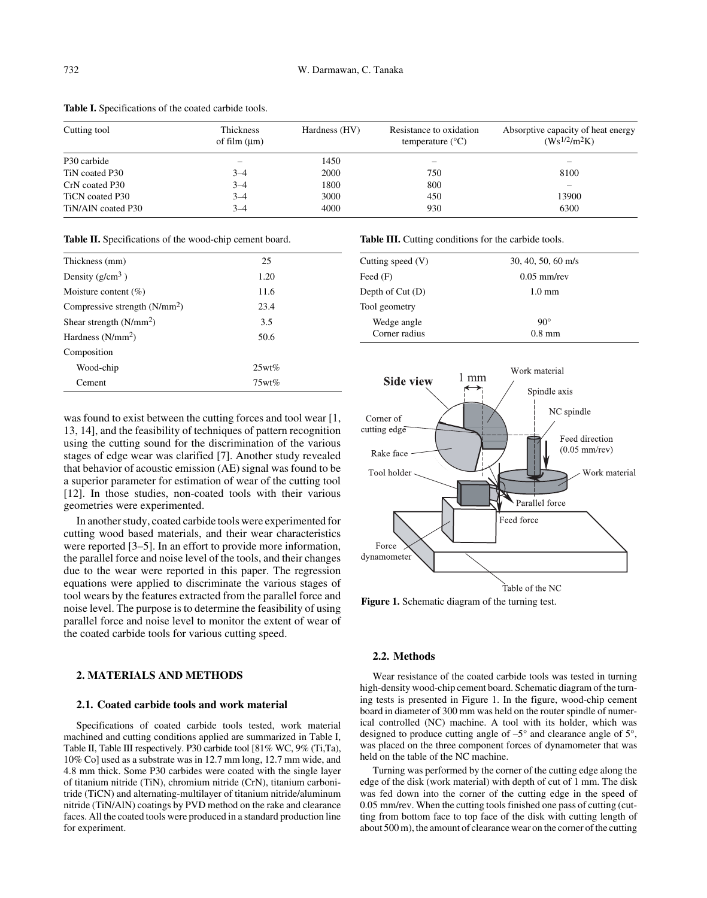| Cutting tool       | Thickness<br>of film $(\mu m)$ | Hardness (HV) | Resistance to oxidation<br>temperature $(^{\circ}C)$ | Absorptive capacity of heat energy<br>$(Ws^{1/2}/m^2K)$ |
|--------------------|--------------------------------|---------------|------------------------------------------------------|---------------------------------------------------------|
| P30 carbide        |                                | 1450          | -                                                    |                                                         |
| TiN coated P30     | $3 - 4$                        | 2000          | 750                                                  | 8100                                                    |
| CrN coated P30     | $3 - 4$                        | 1800          | 800                                                  | -                                                       |
| TiCN coated P30    | $3 - 4$                        | 3000          | 450                                                  | 13900                                                   |
| TiN/AIN coated P30 | $3 - 4$                        | 4000          | 930                                                  | 6300                                                    |

**Table I.** Specifications of the coated carbide tools.

**Table II.** Specifications of the wood-chip cement board.

| Thickness (mm)                  | 25    |
|---------------------------------|-------|
| Density $(g/cm^3)$              | 1.20  |
| Moisture content $(\% )$        | 11.6  |
| Compressive strength $(N/mm^2)$ | 23.4  |
| Shear strength $(N/mm^2)$       | 3.5   |
| Hardness $(N/mm^2)$             | 50.6  |
| Composition                     |       |
| Wood-chip                       | 25wt% |
| Cement                          | 75wt% |

was found to exist between the cutting forces and tool wear [1, 13, 14], and the feasibility of techniques of pattern recognition using the cutting sound for the discrimination of the various stages of edge wear was clarified [7]. Another study revealed that behavior of acoustic emission (AE) signal was found to be a superior parameter for estimation of wear of the cutting tool [12]. In those studies, non-coated tools with their various geometries were experimented.

In another study, coated carbide tools were experimented for cutting wood based materials, and their wear characteristics were reported [3–5]. In an effort to provide more information, the parallel force and noise level of the tools, and their changes due to the wear were reported in this paper. The regression equations were applied to discriminate the various stages of tool wears by the features extracted from the parallel force and noise level. The purpose is to determine the feasibility of using parallel force and noise level to monitor the extent of wear of the coated carbide tools for various cutting speed.

## **2. MATERIALS AND METHODS**

#### **2.1. Coated carbide tools and work material**

Specifications of coated carbide tools tested, work material machined and cutting conditions applied are summarized in Table I, Table II, Table III respectively. P30 carbide tool [81% WC, 9% (Ti,Ta), 10% Co] used as a substrate was in 12.7 mm long, 12.7 mm wide, and 4.8 mm thick. Some P30 carbides were coated with the single layer of titanium nitride (TiN), chromium nitride (CrN), titanium carbonitride (TiCN) and alternating-multilayer of titanium nitride/aluminum nitride (TiN/AlN) coatings by PVD method on the rake and clearance faces. All the coated tools were produced in a standard production line for experiment.

Table III. Cutting conditions for the carbide tools.

| Cutting speed $(V)$ | $30, 40, 50, 60$ m/s |  |  |
|---------------------|----------------------|--|--|
| Feed $(F)$          | $0.05$ mm/rev        |  |  |
| Depth of $Cut(D)$   | $1.0 \text{ mm}$     |  |  |
| Tool geometry       |                      |  |  |
| Wedge angle         | $90^\circ$           |  |  |
| Corner radius       | $0.8 \text{ mm}$     |  |  |
|                     |                      |  |  |



**Figure 1.** Schematic diagram of the turning test.

## **2.2. Methods**

Wear resistance of the coated carbide tools was tested in turning high-density wood-chip cement board. Schematic diagram of the turning tests is presented in Figure 1. In the figure, wood-chip cement board in diameter of 300 mm was held on the router spindle of numerical controlled (NC) machine. A tool with its holder, which was designed to produce cutting angle of –5° and clearance angle of 5°, was placed on the three component forces of dynamometer that was held on the table of the NC machine.

Turning was performed by the corner of the cutting edge along the edge of the disk (work material) with depth of cut of 1 mm. The disk was fed down into the corner of the cutting edge in the speed of 0.05 mm/rev. When the cutting tools finished one pass of cutting (cutting from bottom face to top face of the disk with cutting length of about 500 m), the amount of clearance wear on the corner of the cutting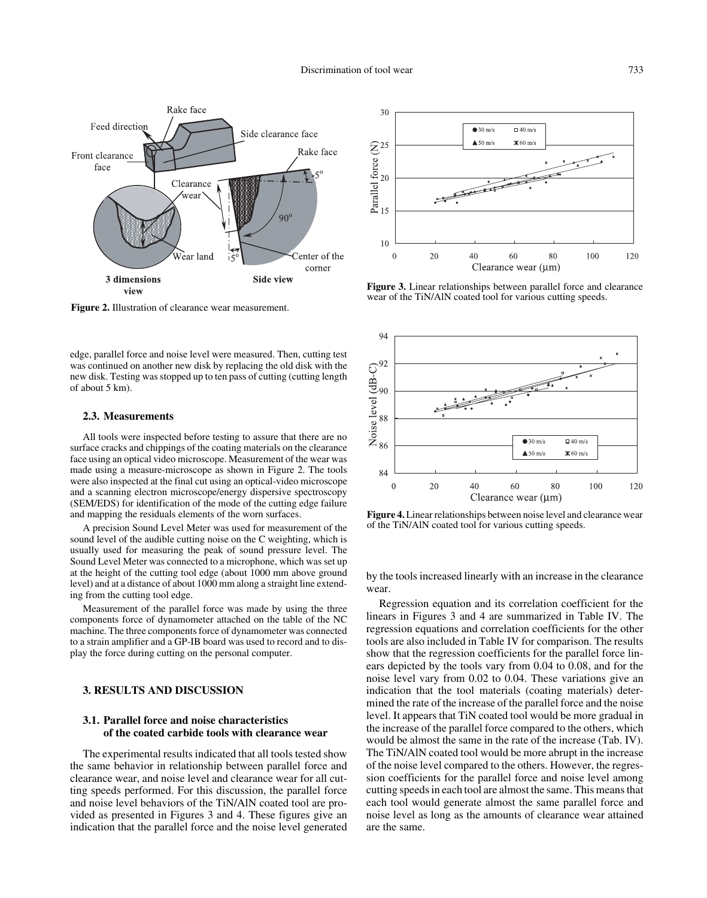

**Figure 2.** Illustration of clearance wear measurement.

edge, parallel force and noise level were measured. Then, cutting test was continued on another new disk by replacing the old disk with the new disk. Testing was stopped up to ten pass of cutting (cutting length of about 5 km).

#### **2.3. Measurements**

All tools were inspected before testing to assure that there are no surface cracks and chippings of the coating materials on the clearance face using an optical video microscope. Measurement of the wear was made using a measure-microscope as shown in Figure 2. The tools were also inspected at the final cut using an optical-video microscope and a scanning electron microscope/energy dispersive spectroscopy (SEM/EDS) for identification of the mode of the cutting edge failure and mapping the residuals elements of the worn surfaces.

A precision Sound Level Meter was used for measurement of the sound level of the audible cutting noise on the C weighting, which is usually used for measuring the peak of sound pressure level. The Sound Level Meter was connected to a microphone, which was set up at the height of the cutting tool edge (about 1000 mm above ground level) and at a distance of about 1000 mm along a straight line extending from the cutting tool edge.

Measurement of the parallel force was made by using the three components force of dynamometer attached on the table of the NC machine. The three components force of dynamometer was connected to a strain amplifier and a GP-IB board was used to record and to display the force during cutting on the personal computer.

## **3. RESULTS AND DISCUSSION**

## **3.1. Parallel force and noise characteristics of the coated carbide tools with clearance wear**

The experimental results indicated that all tools tested show the same behavior in relationship between parallel force and clearance wear, and noise level and clearance wear for all cutting speeds performed. For this discussion, the parallel force and noise level behaviors of the TiN/AlN coated tool are provided as presented in Figures 3 and 4. These figures give an indication that the parallel force and the noise level generated



**Figure 3.** Linear relationships between parallel force and clearance wear of the TiN/AlN coated tool for various cutting speeds.



**Figure 4.** Linear relationships between noise level and clearance wear of the TiN/AlN coated tool for various cutting speeds.

by the tools increased linearly with an increase in the clearance wear.

Regression equation and its correlation coefficient for the linears in Figures 3 and 4 are summarized in Table IV. The regression equations and correlation coefficients for the other tools are also included in Table IV for comparison. The results show that the regression coefficients for the parallel force linears depicted by the tools vary from 0.04 to 0.08, and for the noise level vary from 0.02 to 0.04. These variations give an indication that the tool materials (coating materials) determined the rate of the increase of the parallel force and the noise level. It appears that TiN coated tool would be more gradual in the increase of the parallel force compared to the others, which would be almost the same in the rate of the increase (Tab. IV). The TiN/AlN coated tool would be more abrupt in the increase of the noise level compared to the others. However, the regression coefficients for the parallel force and noise level among cutting speeds in each tool are almost the same. This means that each tool would generate almost the same parallel force and noise level as long as the amounts of clearance wear attained are the same.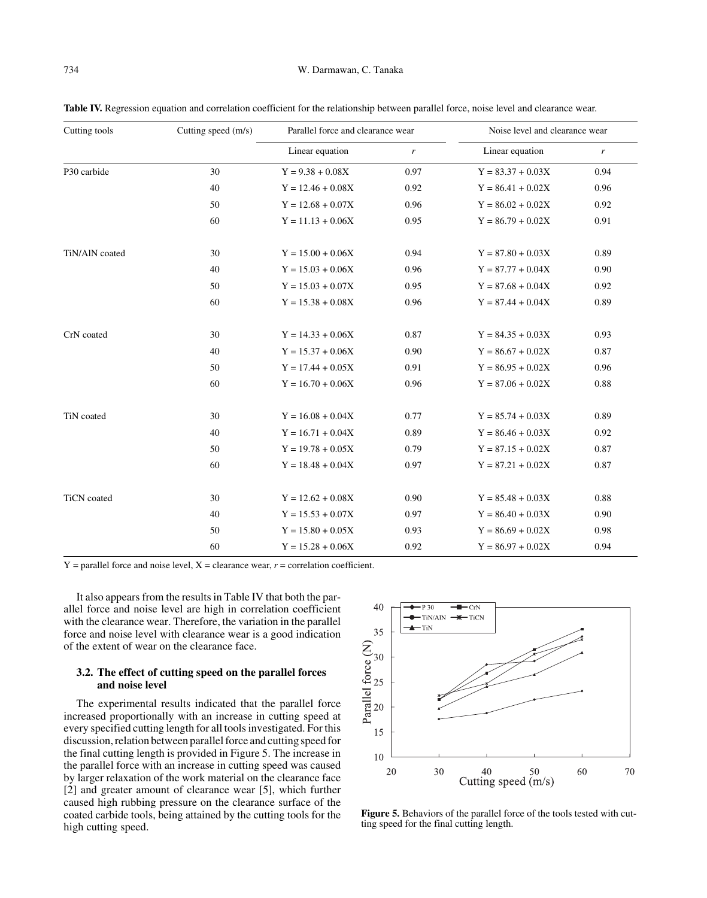| Cutting tools      | Cutting speed (m/s) | Parallel force and clearance wear |                  | Noise level and clearance wear |                  |
|--------------------|---------------------|-----------------------------------|------------------|--------------------------------|------------------|
|                    |                     | Linear equation                   | $\boldsymbol{r}$ | Linear equation                | $\boldsymbol{r}$ |
| P30 carbide        | 30                  | $Y = 9.38 + 0.08X$                | 0.97             | $Y = 83.37 + 0.03X$            | 0.94             |
|                    | 40                  | $Y = 12.46 + 0.08X$               | 0.92             | $Y = 86.41 + 0.02X$            | 0.96             |
|                    | 50                  | $Y = 12.68 + 0.07X$               | 0.96             | $Y = 86.02 + 0.02X$            | 0.92             |
|                    | 60                  | $Y = 11.13 + 0.06X$               | 0.95             | $Y = 86.79 + 0.02X$            | 0.91             |
| TiN/AlN coated     | 30                  | $Y = 15.00 + 0.06X$               | 0.94             | $Y = 87.80 + 0.03X$            | 0.89             |
|                    | 40                  | $Y = 15.03 + 0.06X$               | 0.96             | $Y = 87.77 + 0.04X$            | 0.90             |
|                    | 50                  | $Y = 15.03 + 0.07X$               | 0.95             | $Y = 87.68 + 0.04X$            | 0.92             |
|                    | 60                  | $Y = 15.38 + 0.08X$               | 0.96             | $Y = 87.44 + 0.04X$            | 0.89             |
| CrN coated         | 30                  | $Y = 14.33 + 0.06X$               | 0.87             | $Y = 84.35 + 0.03X$            | 0.93             |
|                    | 40                  | $Y = 15.37 + 0.06X$               | 0.90             | $Y = 86.67 + 0.02X$            | 0.87             |
|                    | 50                  | $Y = 17.44 + 0.05X$               | 0.91             | $Y = 86.95 + 0.02X$            | 0.96             |
|                    | 60                  | $Y = 16.70 + 0.06X$               | 0.96             | $Y = 87.06 + 0.02X$            | 0.88             |
| TiN coated         | 30                  | $Y = 16.08 + 0.04X$               | 0.77             | $Y = 85.74 + 0.03X$            | 0.89             |
|                    | 40                  | $Y = 16.71 + 0.04X$               | 0.89             | $Y = 86.46 + 0.03X$            | 0.92             |
|                    | 50                  | $Y = 19.78 + 0.05X$               | 0.79             | $Y = 87.15 + 0.02X$            | 0.87             |
|                    | 60                  | $Y = 18.48 + 0.04X$               | 0.97             | $Y = 87.21 + 0.02X$            | 0.87             |
| <b>TiCN</b> coated | 30                  | $Y = 12.62 + 0.08X$               | 0.90             | $Y = 85.48 + 0.03X$            | 0.88             |
|                    | 40                  | $Y = 15.53 + 0.07X$               | 0.97             | $Y = 86.40 + 0.03X$            | 0.90             |
|                    | 50                  | $Y = 15.80 + 0.05X$               | 0.93             | $Y = 86.69 + 0.02X$            | 0.98             |
|                    | 60                  | $Y = 15.28 + 0.06X$               | 0.92             | $Y = 86.97 + 0.02X$            | 0.94             |

Table IV. Regression equation and correlation coefficient for the relationship between parallel force, noise level and clearance wear.

 $Y =$  parallel force and noise level,  $X =$  clearance wear,  $r =$  correlation coefficient.

It also appears from the results in Table IV that both the parallel force and noise level are high in correlation coefficient with the clearance wear. Therefore, the variation in the parallel force and noise level with clearance wear is a good indication of the extent of wear on the clearance face.

## **3.2. The effect of cutting speed on the parallel forces and noise level**

The experimental results indicated that the parallel force increased proportionally with an increase in cutting speed at every specified cutting length for all tools investigated. For this discussion, relation between parallel force and cutting speed for the final cutting length is provided in Figure 5. The increase in the parallel force with an increase in cutting speed was caused by larger relaxation of the work material on the clearance face [2] and greater amount of clearance wear [5], which further caused high rubbing pressure on the clearance surface of the coated carbide tools, being attained by the cutting tools for the high cutting speed.



**Figure 5.** Behaviors of the parallel force of the tools tested with cutting speed for the final cutting length.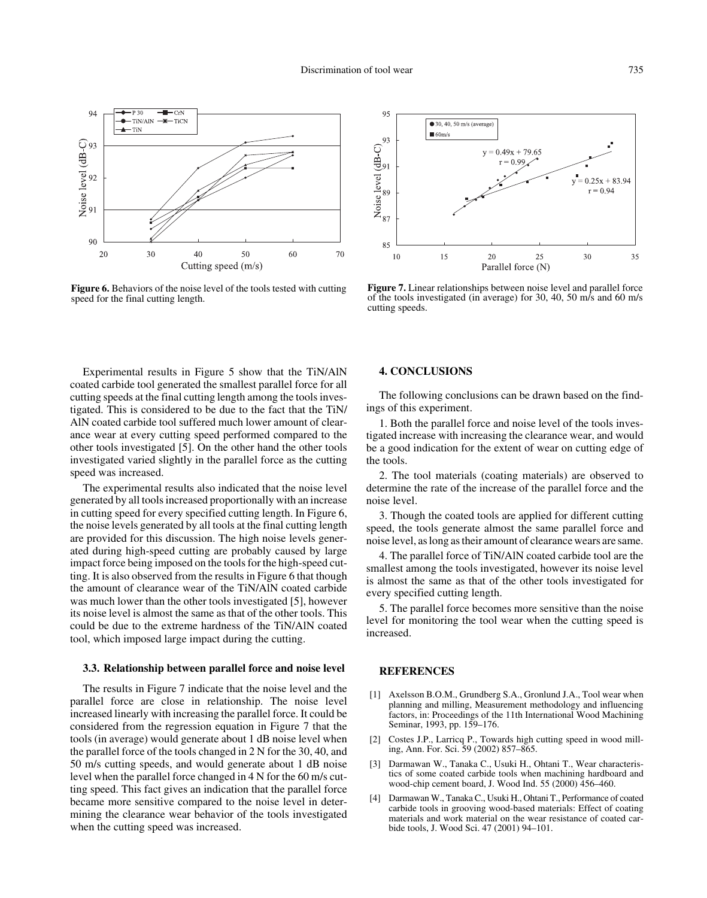

**Figure 6.** Behaviors of the noise level of the tools tested with cutting speed for the final cutting length.



**Figure 7.** Linear relationships between noise level and parallel force of the tools investigated (in average) for 30, 40, 50 m/s and 60 m/s cutting speeds.

Experimental results in Figure 5 show that the TiN/AlN coated carbide tool generated the smallest parallel force for all cutting speeds at the final cutting length among the tools investigated. This is considered to be due to the fact that the TiN/ AlN coated carbide tool suffered much lower amount of clearance wear at every cutting speed performed compared to the other tools investigated [5]. On the other hand the other tools investigated varied slightly in the parallel force as the cutting speed was increased.

The experimental results also indicated that the noise level generated by all tools increased proportionally with an increase in cutting speed for every specified cutting length. In Figure 6, the noise levels generated by all tools at the final cutting length are provided for this discussion. The high noise levels generated during high-speed cutting are probably caused by large impact force being imposed on the tools for the high-speed cutting. It is also observed from the results in Figure 6 that though the amount of clearance wear of the TiN/AlN coated carbide was much lower than the other tools investigated [5], however its noise level is almost the same as that of the other tools. This could be due to the extreme hardness of the TiN/AlN coated tool, which imposed large impact during the cutting.

## **3.3. Relationship between parallel force and noise level**

The results in Figure 7 indicate that the noise level and the parallel force are close in relationship. The noise level increased linearly with increasing the parallel force. It could be considered from the regression equation in Figure 7 that the tools (in average) would generate about 1 dB noise level when the parallel force of the tools changed in 2 N for the 30, 40, and 50 m/s cutting speeds, and would generate about 1 dB noise level when the parallel force changed in 4 N for the 60 m/s cutting speed. This fact gives an indication that the parallel force became more sensitive compared to the noise level in determining the clearance wear behavior of the tools investigated when the cutting speed was increased.

## **4. CONCLUSIONS**

The following conclusions can be drawn based on the findings of this experiment.

1. Both the parallel force and noise level of the tools investigated increase with increasing the clearance wear, and would be a good indication for the extent of wear on cutting edge of the tools.

2. The tool materials (coating materials) are observed to determine the rate of the increase of the parallel force and the noise level.

3. Though the coated tools are applied for different cutting speed, the tools generate almost the same parallel force and noise level, as long as their amount of clearance wears are same.

4. The parallel force of TiN/AlN coated carbide tool are the smallest among the tools investigated, however its noise level is almost the same as that of the other tools investigated for every specified cutting length.

5. The parallel force becomes more sensitive than the noise level for monitoring the tool wear when the cutting speed is increased.

## **REFERENCES**

- [1] Axelsson B.O.M., Grundberg S.A., Gronlund J.A., Tool wear when planning and milling, Measurement methodology and influencing factors, in: Proceedings of the 11th International Wood Machining Seminar, 1993, pp. 159–176.
- [2] Costes J.P., Larricq P., Towards high cutting speed in wood milling, Ann. For. Sci. 59 (2002) 857–865.
- [3] Darmawan W., Tanaka C., Usuki H., Ohtani T., Wear characteristics of some coated carbide tools when machining hardboard and wood-chip cement board, J. Wood Ind. 55 (2000) 456–460.
- [4] Darmawan W., Tanaka C., Usuki H., Ohtani T., Performance of coated carbide tools in grooving wood-based materials: Effect of coating materials and work material on the wear resistance of coated carbide tools, J. Wood Sci. 47 (2001) 94–101.